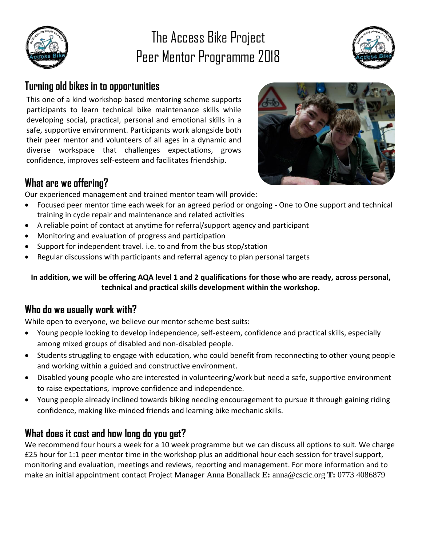

### The Access Bike Project Peer Mentor Programme 2018



### **Turning old bikes in to opportunities**

This one of a kind workshop based mentoring scheme supports participants to learn technical bike maintenance skills while developing social, practical, personal and emotional skills in a safe, supportive environment. Participants work alongside both their peer mentor and volunteers of all ages in a dynamic and diverse workspace that challenges expectations, grows confidence, improves self-esteem and facilitates friendship.



Our experienced management and trained mentor team will provide:

- Focused peer mentor time each week for an agreed period or ongoing One to One support and technical training in cycle repair and maintenance and related activities
- A reliable point of contact at anytime for referral/support agency and participant
- Monitoring and evaluation of progress and participation
- Support for independent travel. i.e. to and from the bus stop/station
- Regular discussions with participants and referral agency to plan personal targets

**In addition, we will be offering AQA level 1 and 2 qualifications for those who are ready, across personal, technical and practical skills development within the workshop.**

#### **Who do we usually work with?**

While open to everyone, we believe our mentor scheme best suits:

- Young people looking to develop independence, self-esteem, confidence and practical skills, especially among mixed groups of disabled and non-disabled people.
- Students struggling to engage with education, who could benefit from reconnecting to other young people and working within a guided and constructive environment.
- Disabled young people who are interested in volunteering/work but need a safe, supportive environment to raise expectations, improve confidence and independence.
- Young people already inclined towards biking needing encouragement to pursue it through gaining riding confidence, making like-minded friends and learning bike mechanic skills.

### **What does it cost and how long do you get?**

We recommend four hours a week for a 10 week programme but we can discuss all options to suit. We charge £25 hour for 1:1 peer mentor time in the workshop plus an additional hour each session for travel support, monitoring and evaluation, meetings and reviews, reporting and management. For more information and to make an initial appointment contact Project Manager Anna Bonallack **E:** anna@cscic.org **T:** 0773 4086879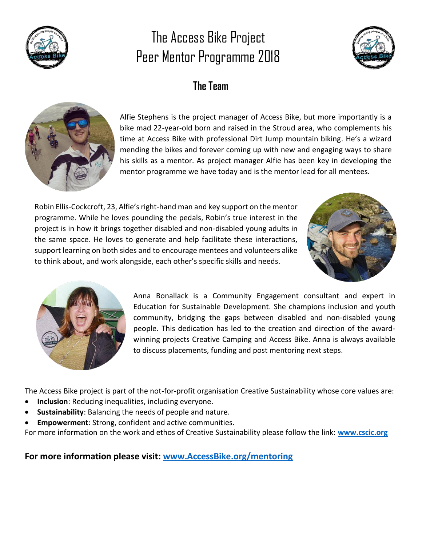

# The Access Bike Project Peer Mentor Programme 2018



### **The Team**



Alfie Stephens is the project manager of Access Bike, but more importantly is a bike mad 22-year-old born and raised in the Stroud area, who complements his time at Access Bike with professional Dirt Jump mountain biking. He's a wizard mending the bikes and forever coming up with new and engaging ways to share his skills as a mentor. As project manager Alfie has been key in developing the mentor programme we have today and is the mentor lead for all mentees.

Robin Ellis-Cockcroft, 23, Alfie's right-hand man and key support on the mentor programme. While he loves pounding the pedals, Robin's true interest in the project is in how it brings together disabled and non-disabled young adults in the same space. He loves to generate and help facilitate these interactions, support learning on both sides and to encourage mentees and volunteers alike to think about, and work alongside, each other's specific skills and needs.





Anna Bonallack is a Community Engagement consultant and expert in Education for Sustainable Development. She champions inclusion and youth community, bridging the gaps between disabled and non-disabled young people. This dedication has led to the creation and direction of the awardwinning projects Creative Camping and Access Bike. Anna is always available to discuss placements, funding and post mentoring next steps.

The Access Bike project is part of the not-for-profit organisation Creative Sustainability whose core values are:

- **[Inclusion](https://www.cscic.org/info/values/inclusion/)**: Reducing inequalities, including everyone.
- **[Sustainability](https://www.cscic.org/info/values/sustainability/)**: Balancing the needs of people and nature.
- **[Empowerment](https://www.cscic.org/info/values/empowerment/)**: Strong, confident and active communities.

For more information on the work and ethos of Creative Sustainability please follow the link: **[www.cscic.org](http://www.cscic.org/)**

**For more information please visit: [www.AccessBike.org/mentoring](file:///C:/Users/Anna/Dropbox/access%20bike/Mentor%20programme/www.AccessBike.org/mentoring)**